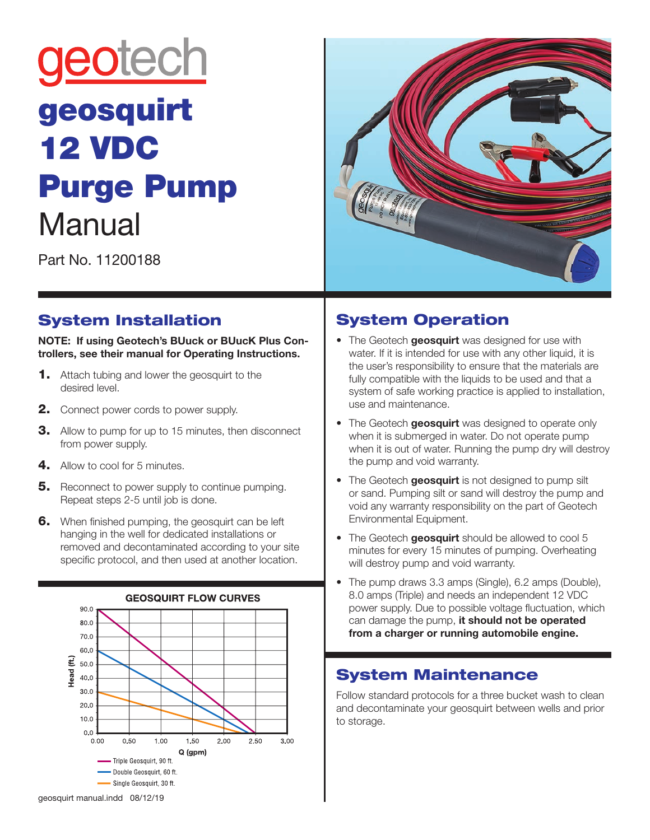# geotech geosquirt 12 VDC Purge Pump **Manual**



Part No. 11200188

## System Installation

**NOTE: If using Geotech's BUuck or BUucK Plus Controllers, see their manual for Operating Instructions.** 

- **1.** Attach tubing and lower the geosquirt to the desired level.
- 2. Connect power cords to power supply.
- **3.** Allow to pump for up to 15 minutes, then disconnect from power supply.
- 4. Allow to cool for 5 minutes.
- **5.** Reconnect to power supply to continue pumping. Repeat steps 2-5 until job is done.
- **6.** When finished pumping, the geosquirt can be left hanging in the well for dedicated installations or removed and decontaminated according to your site specific protocol, and then used at another location.



## System Operation

- The Geotech **geosquirt** was designed for use with water. If it is intended for use with any other liquid, it is the user's responsibility to ensure that the materials are fully compatible with the liquids to be used and that a system of safe working practice is applied to installation, use and maintenance.
- The Geotech **geosquirt** was designed to operate only when it is submerged in water. Do not operate pump when it is out of water. Running the pump dry will destroy the pump and void warranty.
- The Geotech **geosquirt** is not designed to pump silt or sand. Pumping silt or sand will destroy the pump and void any warranty responsibility on the part of Geotech Environmental Equipment.
- The Geotech **geosquirt** should be allowed to cool 5 minutes for every 15 minutes of pumping. Overheating will destroy pump and void warranty.
- The pump draws 3.3 amps (Single), 6.2 amps (Double), 8.0 amps (Triple) and needs an independent 12 VDC power supply. Due to possible voltage fluctuation, which can damage the pump, **it should not be operated from a charger or running automobile engine.**

## System Maintenance

Follow standard protocols for a three bucket wash to clean and decontaminate your geosquirt between wells and prior to storage.